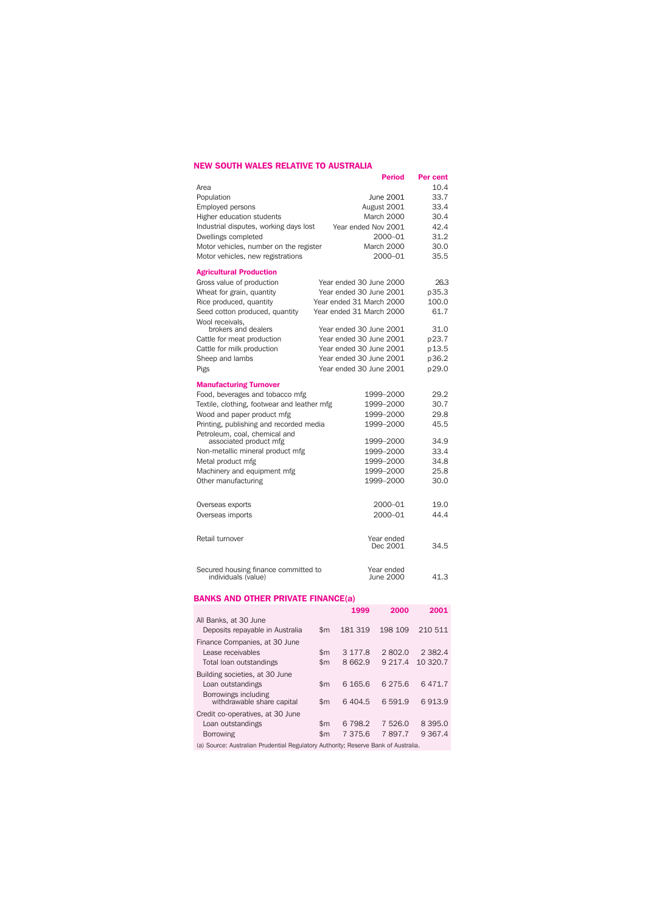## **NEW SOUTH WALES RELATIVE TO AUSTRALIA**

| <b>Period</b>                                                     | Per cent |
|-------------------------------------------------------------------|----------|
| Area                                                              | 10.4     |
| Population<br>June 2001                                           | 33.7     |
| August 2001<br><b>Employed persons</b>                            | 33.4     |
| Higher education students<br>March 2000                           | 30.4     |
| Industrial disputes, working days lost<br>Year ended Nov 2001     | 42.4     |
| Dwellings completed<br>2000-01                                    | 31.2     |
| Motor vehicles, number on the register<br>March 2000              | 30.0     |
| 2000-01<br>Motor vehicles, new registrations                      | 35.5     |
| <b>Agricultural Production</b>                                    |          |
| Gross value of production<br>Year ended 30 June 2000              | 26.3     |
| Wheat for grain, quantity<br>Year ended 30 June 2001              | p35.3    |
| Rice produced, quantity<br>Year ended 31 March 2000               | 100.0    |
| Seed cotton produced, quantity<br>Year ended 31 March 2000        | 61.7     |
| Wool receivals,<br>brokers and dealers<br>Year ended 30 June 2001 | 31.0     |
| Cattle for meat production<br>Year ended 30 June 2001             | p23.7    |
| Year ended 30 June 2001<br>Cattle for milk production             | p 13.5   |
| Year ended 30 June 2001<br>Sheep and lambs                        | p36.2    |
| Pigs<br>Year ended 30 June 2001                                   | p29.0    |
| <b>Manufacturing Turnover</b>                                     |          |
| Food, beverages and tobacco mfg<br>1999-2000                      | 29.2     |
| Textile, clothing, footwear and leather mfg<br>1999-2000          | 30.7     |
| Wood and paper product mfg<br>1999-2000                           | 29.8     |
| Printing, publishing and recorded media<br>1999-2000              | 45.5     |
| Petroleum, coal, chemical and                                     |          |
| associated product mfg<br>1999-2000                               | 34.9     |
| 1999-2000<br>Non-metallic mineral product mfg                     | 33.4     |
| Metal product mfg<br>1999-2000                                    | 34.8     |
| Machinery and equipment mfg<br>1999-2000                          | 25.8     |
| Other manufacturing<br>1999-2000                                  | 30.0     |
| 2000-01<br>Overseas exports                                       | 19.0     |
| 2000-01<br>Overseas imports                                       | 44.4     |
|                                                                   |          |
| Retail turnover<br>Year ended                                     |          |
| Dec 2001                                                          | 34.5     |
| Secured housing finance committed to<br>Year ended                |          |
| June 2000<br>individuals (value)                                  | 41.3     |

#### **BANKS AND OTHER PRIVATE FINANCE(a)**

|                                                          |                | 1999        | 2000        | 2001        |
|----------------------------------------------------------|----------------|-------------|-------------|-------------|
| All Banks, at 30 June<br>Deposits repavable in Australia | $\mathsf{Sm}$  | 181 319     | 198 109     | 210 511     |
| Finance Companies, at 30 June                            |                |             |             |             |
| Lease receivables                                        | $\mathsf{Sm}$  | 3 1 7 7 .8  | 2802.0      | 2 3 8 2 . 4 |
| Total loan outstandings                                  | $\mathsf{Sm}$  | 8 662.9     | 9 2 1 7 . 4 | 10 320.7    |
| Building societies, at 30 June                           |                |             |             |             |
| Loan outstandings                                        | $\mathsf{Sm}$  | 6 1 6 5 . 6 | 6 2 7 5 . 6 | 6471.7      |
| Borrowings including<br>withdrawable share capital       | $\mathsf{Sm}$  | 6404.5      | 6 5 9 1.9   | 6913.9      |
| Credit co-operatives, at 30 June                         |                |             |             |             |
| Loan outstandings                                        | $\mathsf{Sm}$  | 6 798.2     | 7526.0      | 8 3 9 5 . 0 |
| <b>Borrowing</b>                                         | $\mathsf{S}$ m | 7 375.6     | 7897.7      | 9 3 6 7 . 4 |

(a) Source: Australian Prudential Regulatory Authority; Reserve Bank of Australia.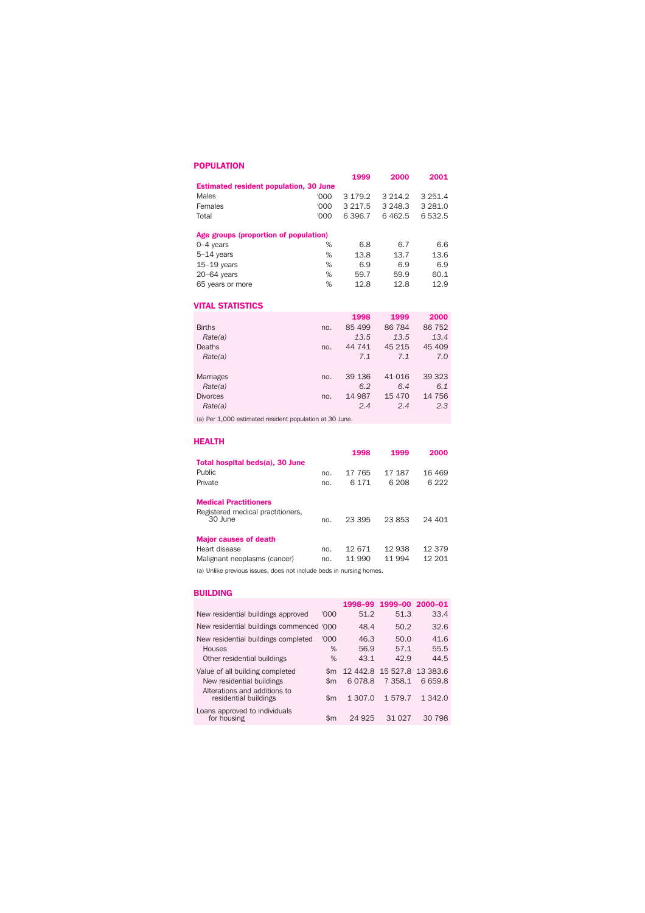## **POPULATION**

|                                               |      | 1999 | 2000                           | 2001 |
|-----------------------------------------------|------|------|--------------------------------|------|
| <b>Estimated resident population, 30 June</b> |      |      |                                |      |
| Males                                         |      |      | $'000$ 3 179.2 3 214.2 3 251.4 |      |
| Females                                       | LOU. |      | 3 217.5 3 248.3 3 281.0        |      |
| Total                                         | 'OOO |      | 6396.7 6462.5 6532.5           |      |
| Ado droupe (proportion of population)         |      |      |                                |      |

## **Age groups (proportion of population)**

| % | 6.8  | 6.7  | 6.6  |
|---|------|------|------|
| % | 13.8 | 13.7 | 13.6 |
| % | 6.9  | 6.9  | 6.9  |
| % | 59.7 | 59.9 | 60.1 |
| % | 12.8 | 12.8 | 12.9 |
|   |      |      |      |

## **VITAL STATISTICS**

|     | 1998   | 1999    | 2000   |
|-----|--------|---------|--------|
| no. | 85 499 | 86 784  | 86 752 |
|     | 13.5   | 13.5    | 13.4   |
| no. | 44 741 | 45 215  | 45 409 |
|     | 7.1    | 7.1     | 7.0    |
| no. | 39 136 | 41 0 16 | 39 323 |
|     | 6.2    | 6.4     | 6.1    |
| no. | 14 987 | 15 4 70 | 14 756 |
|     | 2.4    | 2.4     | 2.3    |
|     |        |         |        |

(a) Per 1,000 estimated resident population at 30 June.

| <b>HEALTH</b>                                                                 |            |                 |                 |                  |
|-------------------------------------------------------------------------------|------------|-----------------|-----------------|------------------|
|                                                                               |            | 1998            | 1999            | 2000             |
| Total hospital beds(a), 30 June                                               |            |                 |                 |                  |
| Public                                                                        | no.        | 17 765          | 17 187          | 16469            |
| Private                                                                       | no.        | 6 1 7 1         | 6 208           | 6 2 2 2          |
| <b>Medical Practitioners</b><br>Registered medical practitioners,<br>30 June  | no.        | 23.395          | 23853           | 24 401           |
| <b>Major causes of death</b><br>Heart disease<br>Malignant neoplasms (cancer) | no.<br>no. | 12671<br>11 990 | 12938<br>11 994 | 12 379<br>12 201 |

(a) Unlike previous issues, does not include beds in nursing homes.

#### **BUILDING**

|                                                       |               |         | 1998-99 1999-00 2000-01    |         |
|-------------------------------------------------------|---------------|---------|----------------------------|---------|
| New residential buildings approved                    | '000          | 51.2    | 51.3                       | 33.4    |
| New residential buildings commenced '000              |               | 48.4    | 50.2                       | 32.6    |
| New residential buildings completed                   | '000          | 46.3    | 50.0                       | 41.6    |
| Houses                                                | %             | 56.9    | 57.1                       | 55.5    |
| Other residential buildings                           | %             | 43.1    | 42.9                       | 44.5    |
| Value of all building completed                       | \$m           |         | 12 442.8 15 527.8 13 383.6 |         |
| New residential buildings                             | $\mathsf{Sm}$ | 6078.8  | 7 3 5 8.1                  | 6659.8  |
| Alterations and additions to<br>residential buildings | \$m           | 1 307.0 | 1579.7                     | 1 342.0 |
| Loans approved to individuals<br>for housing          | \$m           | 24.925  | 31.027                     | 30 798  |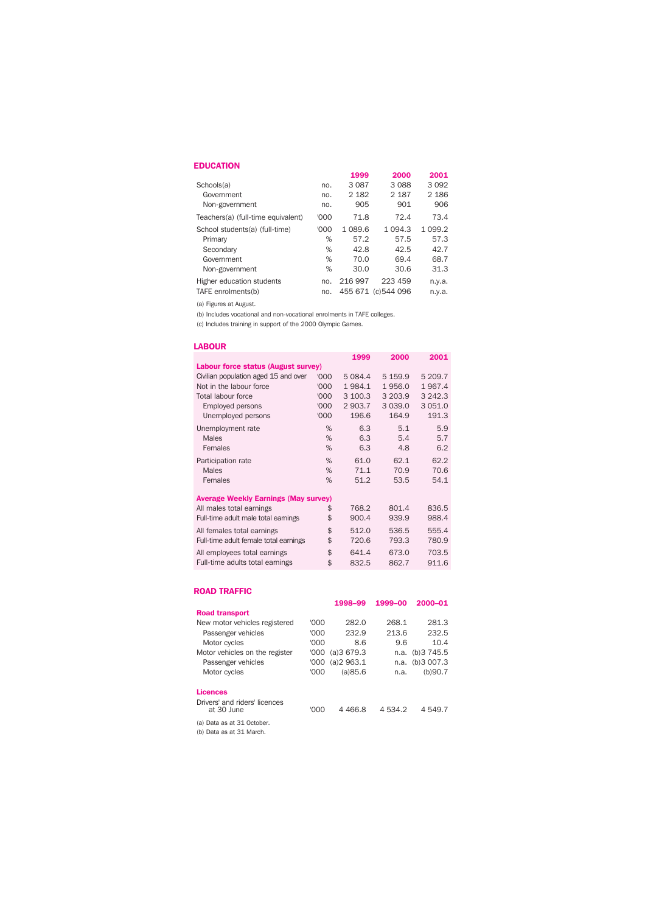#### **EDUCATION**

|                                    |      | 1999    | 2000                | 2001      |
|------------------------------------|------|---------|---------------------|-----------|
| Schools(a)                         | no.  | 3087    | 3088                | 3 0 9 2   |
| Government                         | no.  | 2 1 8 2 | 2 1 8 7             | 2 1 8 6   |
| Non-government                     | no.  | 905     | 901                 | 906       |
| Teachers(a) (full-time equivalent) | '000 | 71.8    | 72.4                | 73.4      |
| School students(a) (full-time)     | '000 | 1 089.6 | 1 0 9 4 . 3         | 1 0 9 9.2 |
| Primary                            | %    | 57.2    | 57.5                | 57.3      |
| Secondary                          | %    | 42.8    | 42.5                | 42.7      |
| Government                         | %    | 70.0    | 69.4                | 68.7      |
| Non-government                     | %    | 30.0    | 30.6                | 31.3      |
| Higher education students          | no.  | 216997  | 223 459             | n.y.a.    |
| TAFE enrolments(b)                 | no.  |         | 455 671 (c) 544 096 | n.y.a.    |

(a) Figures at August.

(b) Includes vocational and non-vocational enrolments in TAFE colleges.

(c) Includes training in support of the 2000 Olympic Games.

#### **LABOUR 1999 2000 2001 Labour force status (August survey)** Civilian population aged 15 and over '000 5 084.4 5 159.9 5 209.7 Not in the labour force  $1984.1$  1956.0 1967.4 Total labour force '000 3 100.3 3 203.9 3 242.3 Employed persons '000 2 903.7 3 039.0 3 051.0 Unemployed persons  $000$  2 903.7 3 039.0 3 051.0<br>Unemployed persons  $000$  196.6 164.9 191.3 Unemployment rate  $\begin{array}{cccc} 6.3 & 5.1 & 5.9 \\ 0.3 & 6.3 & 5.4 & 5.7 \end{array}$ Males 6.3 5.4 5.7 Females % 6.3 4.8 6.2 Participation rate  $\begin{array}{cccc} 96 & 61.0 & 62.1 & 62.2 \\ 0.6 & 62.1 & 70.9 & 70.6 \end{array}$ Males % 71.1 70.9 70.6 Females % 51.2 53.5 54.1 **Average Weekly Earnings (May survey)** All males total earnings<br>
Full-time adult male total earnings<br>
\$ 900.4 939.9 988.4 Full-time adult male total earnings \$ All females total earnings<br>
Full-time adult female total earnings<br>  $\frac{1}{20.6}$   $\frac{536.5}{793.3}$   $\frac{780.9}{793.5}$ Full-time adult female total earnings  $$ 720.6 793.3 780.9$ All employees total earnings  $$641.4$  673.0 703.5 Full-time adults total earnings  $\qquad$  \$ 832.5 862.7 911.6

#### **ROAD TRAFFIC**

|                                             |       | 1998-99   | 1999-00     | 2000-01             |
|---------------------------------------------|-------|-----------|-------------|---------------------|
| <b>Road transport</b>                       |       |           |             |                     |
| New motor vehicles registered               | '000  | 282.0     | 268.1       | 281.3               |
| Passenger vehicles                          | '000  | 232.9     | 213.6       | 232.5               |
| Motor cycles                                | '000  | 8.6       | 9.6         | 10.4                |
| Motor vehicles on the register              | '000' | (a)3679.3 | n.a.        | (b) 3745.5          |
| Passenger vehicles                          | '000' | (a)2963.1 |             | $n.a.$ (b) $3007.3$ |
| Motor cycles                                | '000  | (a)85.6   | n.a.        | (b)90.7             |
| <b>Licences</b>                             |       |           |             |                     |
| Drivers' and riders' licences<br>at 30 June | '000  | 4 4 6 6.8 | 4 5 3 4 . 2 | 4 549.7             |
| (a) Data as at 31 October                   |       |           |             |                     |

(b) Data as at 31 March.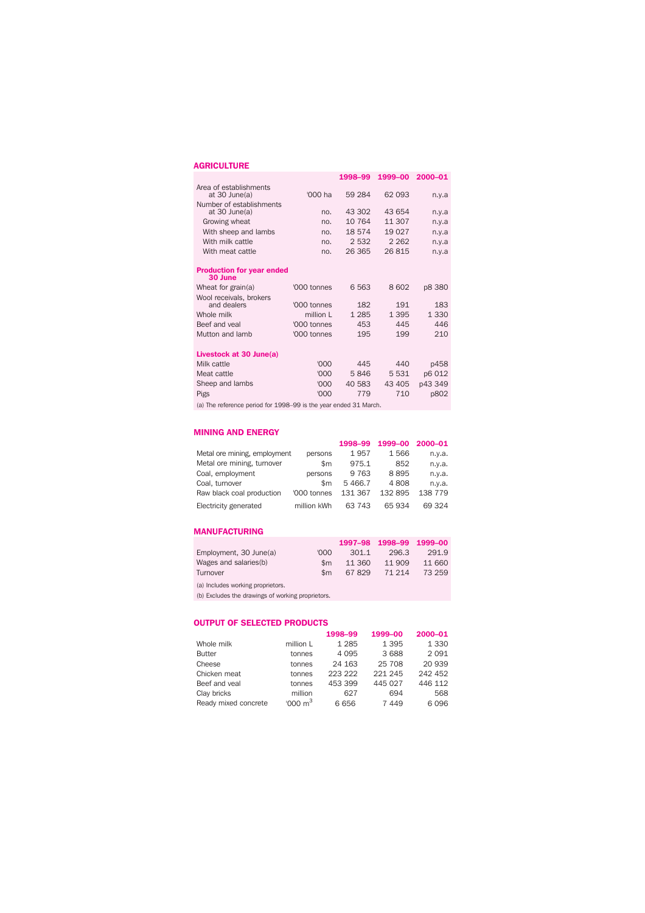## **AGRICULTURE**

|                                                |             | 1998-99 | 1999-00 | 2000-01 |
|------------------------------------------------|-------------|---------|---------|---------|
| Area of establishments                         |             |         |         |         |
| at $30$ June(a)                                | '000 ha     | 59 284  | 62 093  | n.y.a   |
| Number of establishments<br>at $30$ June $(a)$ | no.         | 43 302  | 43 654  | n.y.a   |
| Growing wheat                                  | no.         | 10 764  | 11 307  | n.y.a   |
| With sheep and lambs                           | no.         | 18574   | 19 0 27 | n.v.a   |
| With milk cattle                               | no.         | 2 5 3 2 | 2 2 6 2 | n.v.a   |
| With meat cattle                               | no.         | 26 365  | 26815   | n.y.a   |
|                                                |             |         |         |         |
| <b>Production for year ended</b><br>30 June    |             |         |         |         |
| Wheat for grain(a)                             | '000 tonnes | 6563    | 8602    | p8 380  |
| Wool receivals, brokers                        |             |         |         |         |
| and dealers                                    | '000 tonnes | 182     | 191     | 183     |
| Whole milk                                     | million L   | 1 2 8 5 | 1 3 9 5 | 1 3 3 0 |
| Beef and yeal                                  | '000 tonnes | 453     | 445     | 446     |
| Mutton and lamb                                | '000 tonnes | 195     | 199     | 210     |
|                                                |             |         |         |         |
| Livestock at 30 June(a)                        |             |         |         |         |
| Milk cattle                                    | '000        | 445     | 440     | p458    |
| Meat cattle                                    | '000        | 5846    | 5 5 3 1 | p6 012  |
| Sheep and lambs                                | '000        | 40 583  | 43 405  | p43 349 |
| <b>Pigs</b>                                    | '000        | 779     | 710     | p802    |
|                                                |             |         |         |         |

(a) The reference period for 1998–99 is the year ended 31 March.

#### **MINING AND ENERGY**

|                              |               | 1998-99 | 1999-00 2000-01 |         |
|------------------------------|---------------|---------|-----------------|---------|
| Metal ore mining, employment | persons       | 1957    | 1566            | n.y.a.  |
| Metal ore mining, turnover   | $\mathsf{Sm}$ | 975.1   | 852             | n.y.a.  |
| Coal, employment             | persons       | 9 7 6 3 | 8895            | n.y.a.  |
| Coal, turnover               | $\mathsf{Sm}$ | 5466.7  | 4808            | n.y.a.  |
| Raw black coal production    | '000 tonnes   | 131 367 | 132 895         | 138 779 |
| Electricity generated        | million kWh   | 63 743  | 65934           | 69 324  |

### **MANUFACTURING**

|                                   |               |        | 1997-98 1998-99 1999-00 |        |
|-----------------------------------|---------------|--------|-------------------------|--------|
| Employment, 30 June(a)            | <u>nool</u>   | 301.1  | 296.3                   | 291.9  |
| Wages and salaries(b)             | \$m           | 11 360 | 11 909                  | 11 660 |
| Turnover                          | $\mathsf{Sm}$ | 67829  | 71 214                  | 73 259 |
| (a) Includes working proprietors. |               |        |                         |        |

(b) Excludes the drawings of working proprietors.

## **OUTPUT OF SELECTED PRODUCTS**

|                      |                     | 1998-99 | 1999-00 | 2000-01 |
|----------------------|---------------------|---------|---------|---------|
| Whole milk           | million L           | 1 2 8 5 | 1 3 9 5 | 1 3 3 0 |
| <b>Butter</b>        | tonnes              | 4 0 9 5 | 3 6 8 8 | 2091    |
| Cheese               | tonnes              | 24 163  | 25 708  | 20 939  |
| Chicken meat         | tonnes              | 223 222 | 221 245 | 242 452 |
| Beef and yeal        | tonnes              | 453 399 | 445 027 | 446 112 |
| Clay bricks          | million             | 627     | 694     | 568     |
| Ready mixed concrete | '000 m <sup>3</sup> | 6656    | 7 4 4 9 | 6096    |
|                      |                     |         |         |         |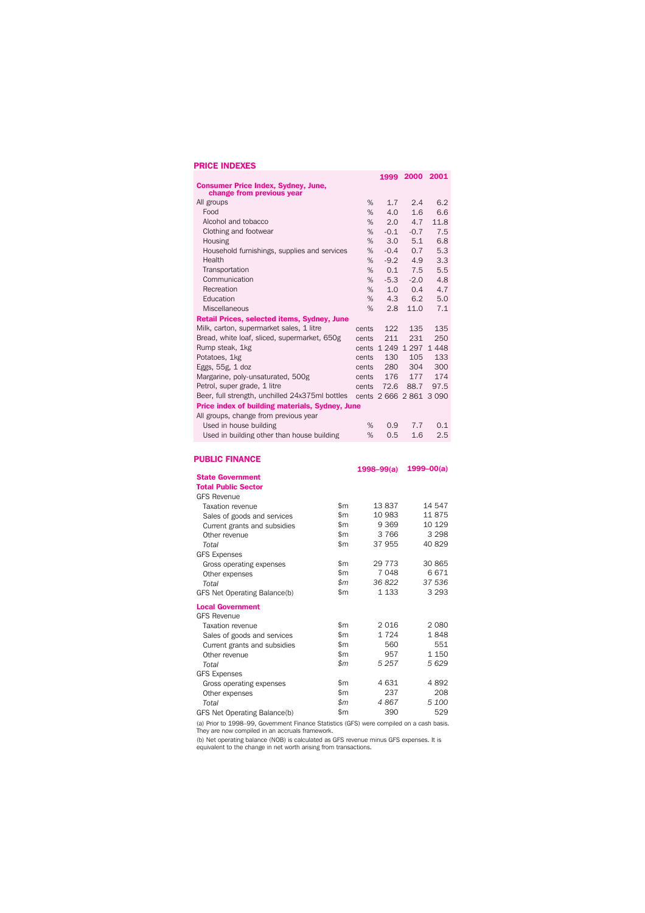## **PRICE INDEXES**

| <b>Consumer Price Index, Sydney, June,</b>      |               |       | 1999           | 2000                    | 2001       |
|-------------------------------------------------|---------------|-------|----------------|-------------------------|------------|
| change from previous year                       |               |       |                |                         |            |
| All groups                                      |               | %     | 1.7            | 2.4                     | 6.2        |
| Food                                            |               | %     | 4.0            | 1.6                     | 6.6        |
| Alcohol and tobacco                             |               | %     | 2.0            | 4.7                     | 11.8       |
| Clothing and footwear                           |               | %     | $-0.1$         | $-0.7$                  | 7.5        |
| Housing                                         |               | %     | 3.0            | 5.1                     | 6.8        |
| Household furnishings, supplies and services    |               | %     | $-0.4$         | 0.7                     | 5.3        |
| Health                                          |               | %     | $-9.2$         | 4.9                     | 3.3        |
| Transportation                                  |               | %     | 0.1            | 7.5                     | 5.5        |
| Communication                                   |               | %     | $-5.3$         | $-2.0$                  | 4.8        |
| Recreation                                      |               |       |                |                         |            |
|                                                 |               | %     | 1.0            | 0.4                     | 4.7        |
| Education                                       |               | %     | 4.3            | 6.2                     | 5.0        |
| <b>Miscellaneous</b>                            |               | %     | 2.8            | 11.0                    | 7.1        |
| Retail Prices, selected items, Sydney, June     |               |       |                |                         |            |
| Milk, carton, supermarket sales, 1 litre        |               | cents | 122            | 135                     | 135        |
| Bread, white loaf, sliced, supermarket, 650g    |               | cents | 211            | 231                     | 250        |
| Rump steak, 1kg                                 |               |       |                | cents 1 249 1 297       | 1448       |
| Potatoes, 1kg                                   |               | cents | 130            | 105                     | 133        |
| Eggs, 55g, 1 doz                                |               |       | 280            | 304                     | 300        |
| Margarine, poly-unsaturated, 500g               |               |       | 176            | 177                     | 174        |
| Petrol, super grade, 1 litre                    |               | cents | 72.6           | 88.7                    | 97.5       |
| Beer, full strength, unchilled 24x375ml bottles |               |       |                | cents 2 666 2 861 3 090 |            |
| Price index of building materials, Sydney, June |               |       |                |                         |            |
| All groups, change from previous year           |               |       |                |                         |            |
| Used in house building                          |               | %     | 0.9            | 7.7                     | 0.1        |
| Used in building other than house building      |               | %     | 0.5            | 1.6                     | 2.5        |
|                                                 |               |       |                |                         |            |
|                                                 |               |       |                |                         |            |
| <b>PUBLIC FINANCE</b>                           |               |       |                |                         | 1999–00(a) |
| <b>State Government</b>                         |               |       | $1998 - 99(a)$ |                         |            |
| <b>Total Public Sector</b>                      |               |       |                |                         |            |
|                                                 |               |       |                |                         |            |
| <b>GFS Revenue</b>                              | \$m           |       | 13837          |                         | 14 547     |
| <b>Taxation revenue</b>                         |               |       |                |                         |            |
| Sales of goods and services                     | \$m           |       | 10 983         |                         | 11 875     |
| Current grants and subsidies                    | \$m           |       | 9 3 6 9        |                         | 10 129     |
| \$m<br>Other revenue                            |               |       | 3766           |                         | 3 2 9 8    |
| \$m<br>Total                                    |               |       | 37 955         |                         | 40 829     |
| <b>GFS Expenses</b>                             |               |       |                |                         |            |
| Gross operating expenses                        | \$m           |       | 29 7 73        |                         | 30 865     |
| Other expenses                                  | $\mathsf{Sm}$ |       | 7048           |                         | 6671       |
| Total                                           | \$m           |       | 36822          |                         | 37 536     |
|                                                 | ₼             |       | 4.122          |                         | 0.000      |

| Total                        | $\mathfrak{m}$ | 36 822  | 37 536  |
|------------------------------|----------------|---------|---------|
| GFS Net Operating Balance(b) | $\mathsf{Sm}$  | 1 1 3 3 | 3 2 9 3 |
| <b>Local Government</b>      |                |         |         |
| <b>GFS Revenue</b>           |                |         |         |
| Taxation revenue             | $\mathsf{Sm}$  | 2016    | 2080    |
| Sales of goods and services  | \$m\$          | 1724    | 1848    |
| Current grants and subsidies | \$m            | 560     | 551     |
| Other revenue                | $\mathsf{Sm}$  | 957     | 1 1 5 0 |
| Total                        | $\mathsf{S}m$  | 5 2 5 7 | 5629    |
| <b>GFS Expenses</b>          |                |         |         |
| Gross operating expenses     | $\mathsf{Sm}$  | 4631    | 4892    |
| Other expenses               | $\mathsf{Sm}$  | 237     | 208     |
| Total                        | $\mathsf{m}$   | 4867    | 5 100   |
| GFS Net Operating Balance(b) | \$m\$          | 390     | 529     |

(a) Prior to 1998–99, Government Finance Statistics (GFS) were compiled on a cash basis.<br>They are now compiled in an accruals framework.

(b) Net operating balance (NOB) is calculated as GFS revenue minus GFS expenses. It is equivalent to the change in net worth arising from transactions.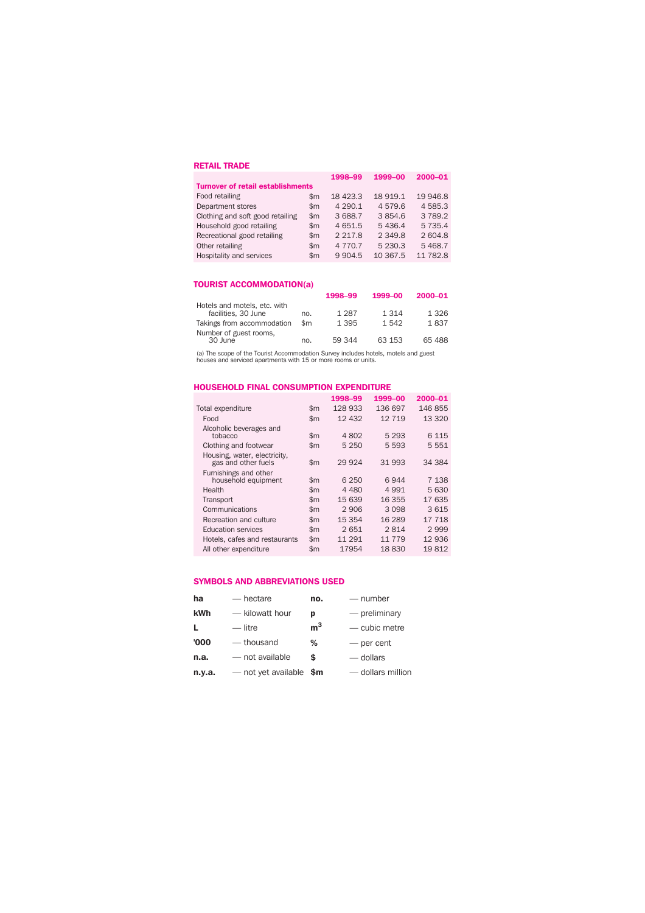## **RETAIL TRADE**

|               | 1998-99                                  | 1999-00     | 2000-01     |
|---------------|------------------------------------------|-------------|-------------|
|               |                                          |             |             |
| $\mathsf{Sm}$ | 18 423.3                                 | 18 919.1    | 19 946.8    |
| $\mathsf{Sm}$ | 4 2 9 0.1                                | 4579.6      | 4585.3      |
| $\mathsf{Sm}$ | 3 688.7                                  | 3854.6      | 3 7 8 9.2   |
| $\mathsf{Sm}$ | 4 651.5                                  | 5436.4      | 5 7 3 5 . 4 |
| $\mathsf{Sm}$ | 2 2 1 7 .8                               | 2 3 4 9 .8  | 2604.8      |
| $\mathsf{Sm}$ | 4 7 7 0 . 7                              | 5 2 3 0 . 3 | 5468.7      |
| \$m           | 9 9 0 4.5                                | 10 367.5    | 11 782.8    |
|               | <b>Turnover of retail establishments</b> |             |             |

## **TOURIST ACCOMMODATION(a)**

|                                                     |     | 1998-99 | 1999-00 | 2000-01 |
|-----------------------------------------------------|-----|---------|---------|---------|
| Hotels and motels, etc. with<br>facilities, 30 June | no. | 1 2 8 7 | 1 3 1 4 | 1 3 2 6 |
| Takings from accommodation                          | \$m | 1 3 9 5 | 1.542   | 1837    |
| Number of guest rooms,<br>30 June                   | no. | 59 344  | 63 153  | 65 488  |

(a) The scope of the Tourist Accommodation Survey includes hotels, motels and guest houses and serviced apartments with 15 or more rooms or units.

#### **HOUSEHOLD FINAL CONSUMPTION EXPENDITURE**

|                                                     |               | 1998-99 | 1999-00 | 2000-01 |
|-----------------------------------------------------|---------------|---------|---------|---------|
| Total expenditure                                   | \$m           | 128 933 | 136 697 | 146 855 |
| Food                                                | $\mathsf{Sm}$ | 12 432  | 12 719  | 13 3 20 |
| Alcoholic beverages and<br>tobacco                  | $\mathsf{Sm}$ | 4 8 0 2 | 5 2 9 3 | 6 1 1 5 |
| Clothing and footwear                               | $\mathsf{Sm}$ | 5 2 5 0 | 5 5 9 3 | 5 5 5 1 |
| Housing, water, electricity,<br>gas and other fuels | \$m           | 29 9 24 | 31 993  | 34 384  |
| Furnishings and other<br>household equipment        | \$m           | 6 2 5 0 | 6944    | 7 138   |
| Health                                              | $\mathsf{Sm}$ | 4 4 8 0 | 4 9 9 1 | 5630    |
| Transport                                           | $\mathsf{Sm}$ | 15 639  | 16 355  | 17635   |
| Communications                                      | \$m           | 2906    | 3 0 9 8 | 3615    |
| Recreation and culture                              | $\mathsf{Sm}$ | 15 354  | 16 289  | 17 718  |
| <b>Education services</b>                           | $\mathsf{Sm}$ | 2651    | 2814    | 2999    |
| Hotels, cafes and restaurants                       | $\mathsf{Sm}$ | 11 291  | 11 779  | 12 936  |
| All other expenditure                               | \$m           | 17954   | 18830   | 19812   |

### **SYMBOLS AND ABBREVIATIONS USED**

| ha     | — hectare                | no.            | — number          |
|--------|--------------------------|----------------|-------------------|
| kWh    | - kilowatt hour          | р              | $-$ preliminary   |
| L      | — litre                  | m <sup>3</sup> | - cubic metre     |
| '000   | — thousand               | %              | - per cent        |
| n.a.   | - not available          | \$             | — dollars         |
| n.y.a. | — not yet available $$m$ |                | - dollars million |